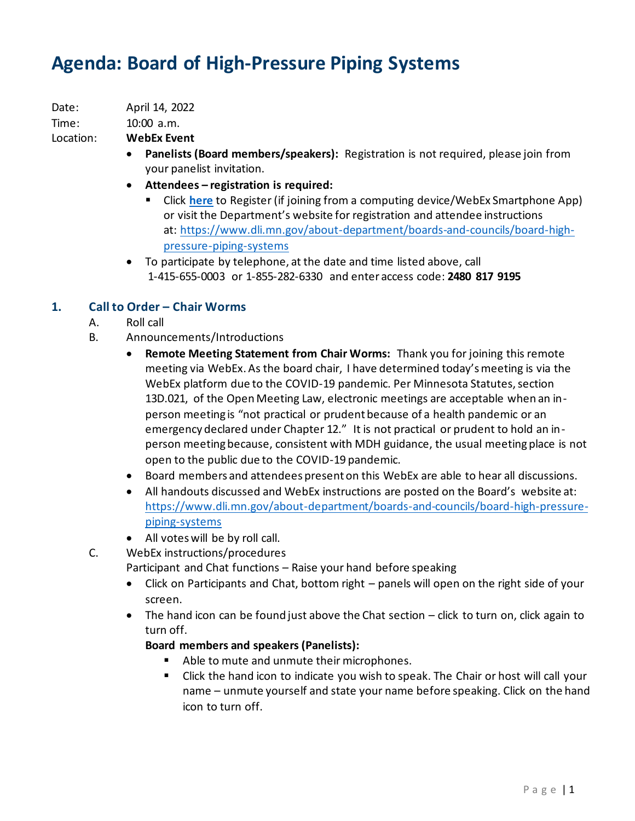# **Agenda: Board of High-Pressure Piping Systems**

Date: April 14, 2022

Time: 10:00 a.m.

## Location: **WebEx Event**

- **Panelists (Board members/speakers):** Registration is not required, please join from your panelist invitation.
- **Attendees – registration is required:**
	- Click [here](https://minnesota.webex.com/minnesota/j.php?RGID=r6ba2b83216f4d8235b7a40288df93dfc) to Register (if joining from a computing device/WebEx Smartphone App) or visit the Department's website for registration and attendee instructions at: [https://www.dli.mn.gov/about-department/boards-and-councils/board-high](https://www.dli.mn.gov/about-department/boards-and-councils/board-high-pressure-piping-systems)[pressure-piping-systems](https://www.dli.mn.gov/about-department/boards-and-councils/board-high-pressure-piping-systems)
- To participate by telephone, at the date and time listed above, call 1-415-655-0003 or 1-855-282-6330 and enter access code: **2480 817 9195**

## **1. Call to Order – Chair Worms**

- A. Roll call
- B. Announcements/Introductions
	- **Remote Meeting Statement from Chair Worms:** Thank you for joining this remote meeting via WebEx. As the board chair, I have determined today's meeting is via the WebEx platform due to the COVID-19 pandemic. Per Minnesota Statutes, section 13D.021, of the Open Meeting Law, electronic meetings are acceptable when an inperson meeting is "not practical or prudent because of a health pandemic or an emergency declared under Chapter 12." It is not practical or prudent to hold an inperson meeting because, consistent with MDH guidance, the usual meeting place is not open to the public due to the COVID-19 pandemic.
	- Board members and attendees present on this WebEx are able to hear all discussions.
	- All handouts discussed and WebEx instructions are posted on the Board's website at: [https://www.dli.mn.gov/about-department/boards-and-councils/board-high-pressure](https://www.dli.mn.gov/about-department/boards-and-councils/board-high-pressure-piping-systems)[piping-systems](https://www.dli.mn.gov/about-department/boards-and-councils/board-high-pressure-piping-systems)
	- All votes will be by roll call.
- C. WebEx instructions/procedures

Participant and Chat functions – Raise your hand before speaking

- Click on Participants and Chat, bottom right panels will open on the right side of your screen.
- The hand icon can be found just above the Chat section click to turn on, click again to turn off.

## **Board members and speakers (Panelists):**

- Able to mute and unmute their microphones.
- Click the hand icon to indicate you wish to speak. The Chair or host will call your name – unmute yourself and state your name before speaking. Click on the hand icon to turn off.